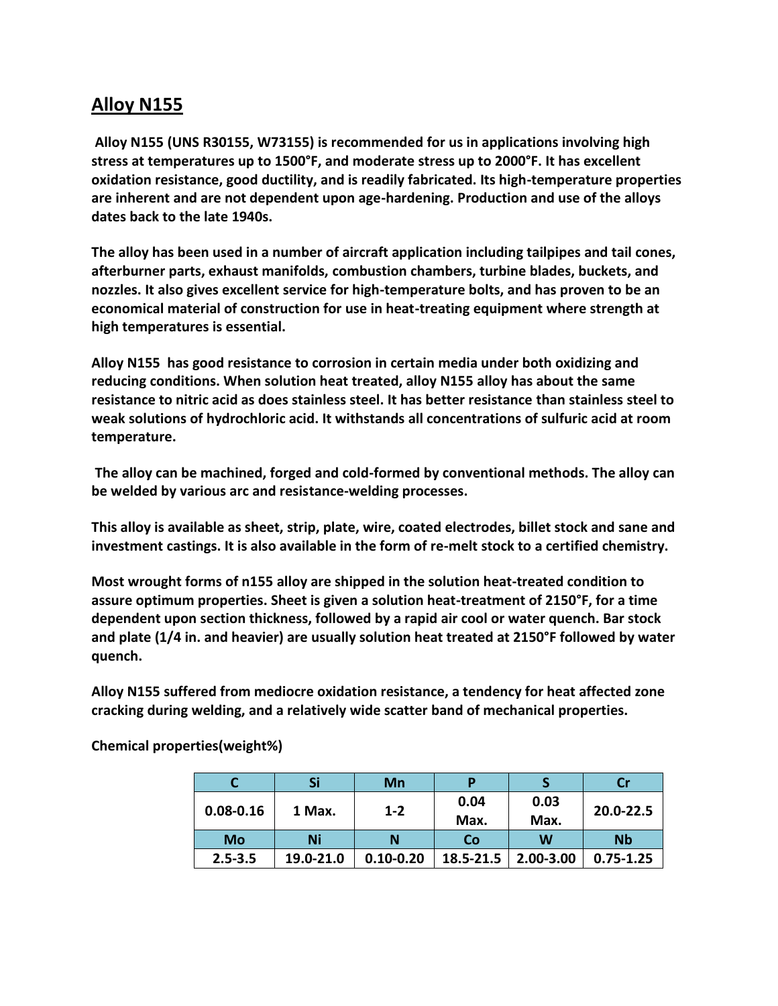## **Alloy N155**

**Alloy N155 (UNS R30155, W73155) is recommended for us in applications involving high stress at temperatures up to 1500°F, and moderate stress up to 2000°F. It has excellent oxidation resistance, good ductility, and is readily fabricated. Its high-temperature properties are inherent and are not dependent upon age-hardening. Production and use of the alloys dates back to the late 1940s.**

**The alloy has been used in a number of aircraft application including tailpipes and tail cones, afterburner parts, exhaust manifolds, combustion chambers, turbine blades, buckets, and nozzles. It also gives excellent service for high-temperature bolts, and has proven to be an economical material of construction for use in heat-treating equipment where strength at high temperatures is essential.**

**Alloy N155 has good resistance to corrosion in certain media under both oxidizing and reducing conditions. When solution heat treated, alloy N155 alloy has about the same resistance to nitric acid as does stainless steel. It has better resistance than stainless steel to weak solutions of hydrochloric acid. It withstands all concentrations of sulfuric acid at room temperature.**

**The alloy can be machined, forged and cold-formed by conventional methods. The alloy can be welded by various arc and resistance-welding processes.**

**This alloy is available as sheet, strip, plate, wire, coated electrodes, billet stock and sane and investment castings. It is also available in the form of re-melt stock to a certified chemistry.**

**Most wrought forms of n155 alloy are shipped in the solution heat-treated condition to assure optimum properties. Sheet is given a solution heat-treatment of 2150°F, for a time dependent upon section thickness, followed by a rapid air cool or water quench. Bar stock and plate (1/4 in. and heavier) are usually solution heat treated at 2150°F followed by water quench.**

**Alloy N155 suffered from mediocre oxidation resistance, a tendency for heat affected zone cracking during welding, and a relatively wide scatter band of mechanical properties.**

|               | Si        | Mn            | p            |              |               |
|---------------|-----------|---------------|--------------|--------------|---------------|
| $0.08 - 0.16$ | 1 Max.    | $1 - 2$       | 0.04<br>Max. | 0.03<br>Max. | 20.0-22.5     |
| Mo            | Ni        | Ν             | Co           | W            | <b>Nb</b>     |
| $2.5 - 3.5$   | 19.0-21.0 | $0.10 - 0.20$ | 18.5-21.5    | 2.00-3.00    | $0.75 - 1.25$ |

**Chemical properties(weight%)**